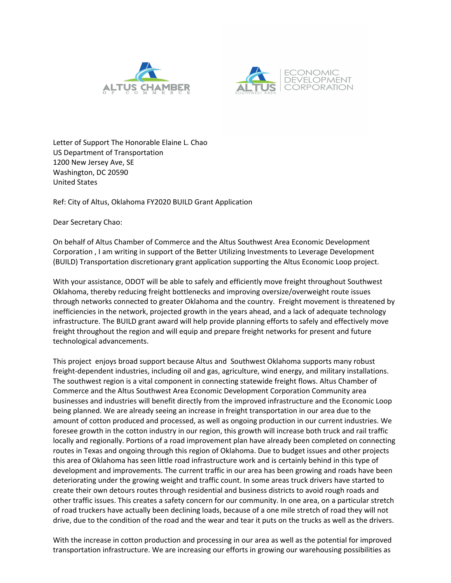



Letter of Support The Honorable Elaine L. Chao US Department of Transportation 1200 New Jersey Ave, SE Washington, DC 20590 United States

Ref: City of Altus, Oklahoma FY2020 BUILD Grant Application

Dear Secretary Chao:

On behalf of Altus Chamber of Commerce and the Altus Southwest Area Economic Development Corporation , I am writing in support of the Better Utilizing Investments to Leverage Development (BUILD) Transportation discretionary grant application supporting the Altus Economic Loop project.

With your assistance, ODOT will be able to safely and efficiently move freight throughout Southwest Oklahoma, thereby reducing freight bottlenecks and improving oversize/overweight route issues through networks connected to greater Oklahoma and the country. Freight movement is threatened by inefficiencies in the network, projected growth in the years ahead, and a lack of adequate technology infrastructure. The BUILD grant award will help provide planning efforts to safely and effectively move freight throughout the region and will equip and prepare freight networks for present and future technological advancements.

This project enjoys broad support because Altus and Southwest Oklahoma supports many robust freight-dependent industries, including oil and gas, agriculture, wind energy, and military installations. The southwest region is a vital component in connecting statewide freight flows. Altus Chamber of Commerce and the Altus Southwest Area Economic Development Corporation Community area businesses and industries will benefit directly from the improved infrastructure and the Economic Loop being planned. We are already seeing an increase in freight transportation in our area due to the amount of cotton produced and processed, as well as ongoing production in our current industries. We foresee growth in the cotton industry in our region, this growth will increase both truck and rail traffic locally and regionally. Portions of a road improvement plan have already been completed on connecting routes in Texas and ongoing through this region of Oklahoma. Due to budget issues and other projects this area of Oklahoma has seen little road infrastructure work and is certainly behind in this type of development and improvements. The current traffic in our area has been growing and roads have been deteriorating under the growing weight and traffic count. In some areas truck drivers have started to create their own detours routes through residential and business districts to avoid rough roads and other traffic issues. This creates a safety concern for our community. In one area, on a particular stretch of road truckers have actually been declining loads, because of a one mile stretch of road they will not drive, due to the condition of the road and the wear and tear it puts on the trucks as well as the drivers.

With the increase in cotton production and processing in our area as well as the potential for improved transportation infrastructure. We are increasing our efforts in growing our warehousing possibilities as